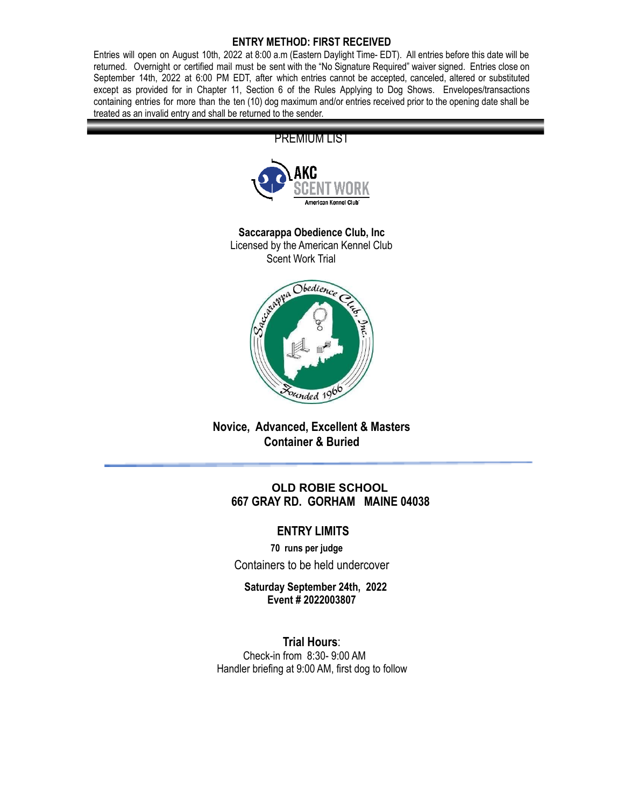#### **ENTRY METHOD: FIRST RECEIVED**

Entries will open on August 10th, 2022 at 8:00 a.m (Eastern Daylight Time- EDT). All entries before this date will be returned. Overnight or certified mail must be sent with the "No Signature Required" waiver signed. Entries close on September 14th, 2022 at 6:00 PM EDT, after which entries cannot be accepted, canceled, altered or substituted except as provided for in Chapter 11, Section 6 of the Rules Applying to Dog Shows. Envelopes/transactions containing entries for more than the ten (10) dog maximum and/or entries received prior to the opening date shall be treated as an invalid entry and shall be returned to the sender.



# **Novice, Advanced, Excellent & Masters Container & Buried**

# **OLD ROBIE SCHOOL 667 GRAY RD. GORHAM MAINE 04038**

# **ENTRY LIMITS**

**70 runs per judge** Containers to be held undercover

**Saturday September 24th, 2022 Event # 2022003807**

**Trial Hours**: Check-in from 8:30- 9:00 AM Handler briefing at 9:00 AM, first dog to follow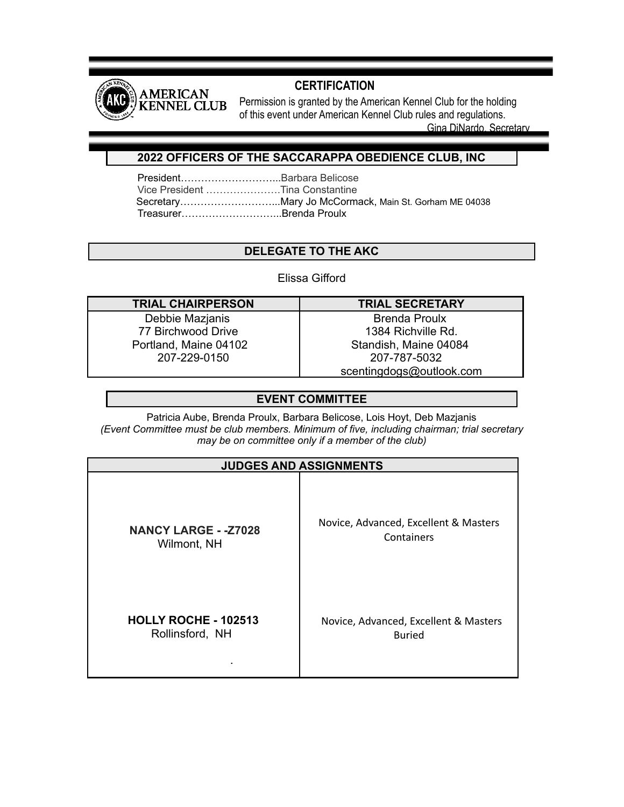

# **CERTIFICATION**

Permission is granted by the American Kennel Club for the holding of this event under American Kennel Club rules and regulations.

Gina DiNardo, Secretary

# **2022 OFFICERS OF THE SACCARAPPA OBEDIENCE CLUB, INC**

President………………………...Barbara Belicose Vice President ………………….Tina Constantine Secretary………………………...Mary Jo McCormack, Main St. Gorham ME 04038 Treasurer………………………...Brenda Proulx

# **DELEGATE TO THE AKC**

# Elissa Gifford

| <b>TRIAL CHAIRPERSON</b> |
|--------------------------|
| Debbie Mazjanis          |
| 77 Birchwood Drive       |

Portland, Maine 04102 207-229-0150

**TRIAL CHAIRPERSON TRIAL SECRETARY** Brenda Proulx

1384 Richville Rd. Standish, Maine 04084 207-787-5032 scentingdogs@outlook.com

# **EVENT COMMITTEE**

Patricia Aube, Brenda Proulx, Barbara Belicose, Lois Hoyt, Deb Mazjanis *(Event Committee must be club members. Minimum of five, including chairman; trial secretary may be on committee only if a member of the club)*

| <b>JUDGES AND ASSIGNMENTS</b> |                                       |  |  |
|-------------------------------|---------------------------------------|--|--|
| <b>NANCY LARGE - - Z7028</b>  | Novice, Advanced, Excellent & Masters |  |  |
| Wilmont, NH                   | Containers                            |  |  |
| <b>HOLLY ROCHE - 102513</b>   | Novice, Advanced, Excellent & Masters |  |  |
| Rollinsford, NH               | <b>Buried</b>                         |  |  |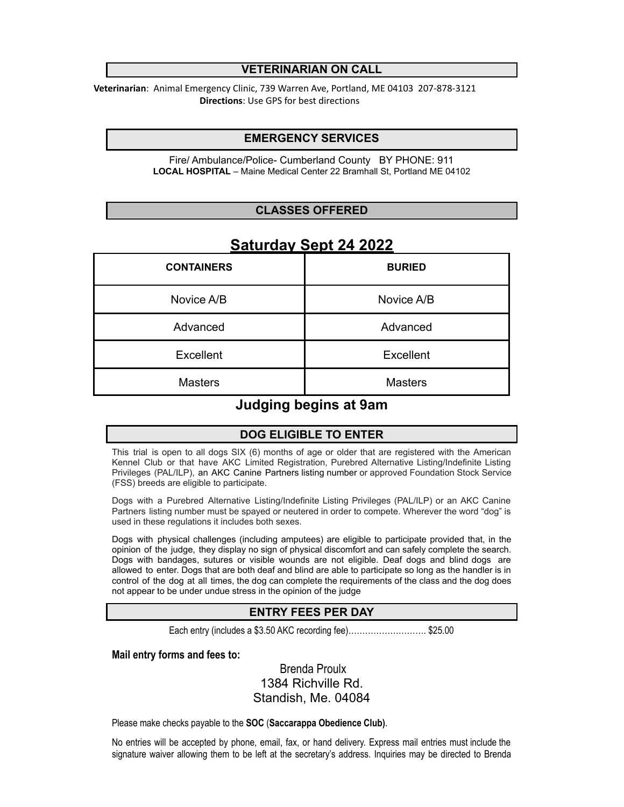### **VETERINARIAN ON CALL**

**Veterinarian**: Animal Emergency Clinic, 739 Warren Ave, Portland, ME 04103 207-878-3121 **Directions**: Use GPS for best directions

### **EMERGENCY SERVICES**

Fire/ Ambulance/Police- Cumberland County BY PHONE: 911 **LOCAL HOSPITAL** – Maine Medical Center 22 Bramhall St, Portland ME 04102

### **CLASSES OFFERED**

| <b>CONTAINERS</b> | <b>BURIED</b>    |
|-------------------|------------------|
| Novice A/B        | Novice A/B       |
| Advanced          | Advanced         |
| Excellent         | <b>Excellent</b> |
| <b>Masters</b>    | <b>Masters</b>   |

# **Saturday Sept 24 2022**

# **Judging begins at 9am**

# **DOG ELIGIBLE TO ENTER**

This trial is open to all dogs SIX (6) months of age or older that are registered with the American Kennel Club or that have AKC Limited Registration, Purebred Alternative Listing/Indefinite Listing Privileges (PAL/ILP), an AKC Canine Partners listing number or approved Foundation Stock Service (FSS) breeds are eligible to participate.

Dogs with a Purebred Alternative Listing/Indefinite Listing Privileges (PAL/ILP) or an AKC Canine Partners listing number must be spayed or neutered in order to compete. Wherever the word "dog" is used in these regulations it includes both sexes.

Dogs with physical challenges (including amputees) are eligible to participate provided that, in the opinion of the judge, they display no sign of physical discomfort and can safely complete the search. Dogs with bandages, sutures or visible wounds are not eligible. Deaf dogs and blind dogs are allowed to enter. Dogs that are both deaf and blind are able to participate so long as the handler is in control of the dog at all times, the dog can complete the requirements of the class and the dog does not appear to be under undue stress in the opinion of the judge

# **ENTRY FEES PER DAY**

Each entry (includes a \$3.50 AKC recording fee)………………………. \$25.00

#### **Mail entry forms and fees to:**

Brenda Proulx 1384 Richville Rd. Standish, Me. 04084

Please make checks payable to the **SOC** (**Saccarappa Obedience Club)**.

No entries will be accepted by phone, email, fax, or hand delivery. Express mail entries must include the signature waiver allowing them to be left at the secretary's address. Inquiries may be directed to Brenda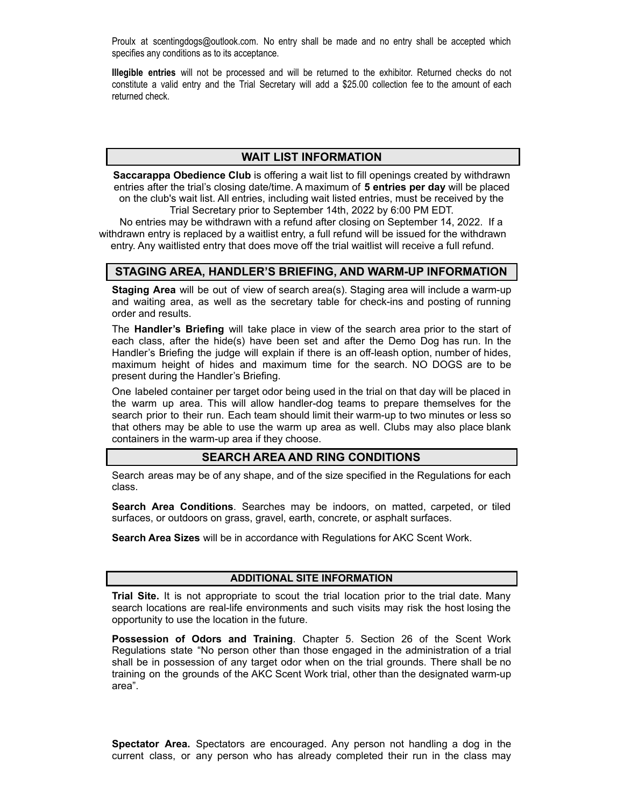Proulx at scentingdogs@outlook.com. No entry shall be made and no entry shall be accepted which specifies any conditions as to its acceptance.

**Illegible entries** will not be processed and will be returned to the exhibitor. Returned checks do not constitute a valid entry and the Trial Secretary will add a \$25.00 collection fee to the amount of each returned check.

### **WAIT LIST INFORMATION**

**Saccarappa Obedience Club** is offering a wait list to fill openings created by withdrawn entries after the trial's closing date/time. A maximum of **5 entries per day** will be placed on the club's wait list. All entries, including wait listed entries, must be received by the Trial Secretary prior to September 14th, 2022 by 6:00 PM EDT.

No entries may be withdrawn with a refund after closing on September 14, 2022. If a withdrawn entry is replaced by a waitlist entry, a full refund will be issued for the withdrawn entry. Any waitlisted entry that does move off the trial waitlist will receive a full refund.

# **STAGING AREA, HANDLER'S BRIEFING, AND WARM-UP INFORMATION**

**Staging Area** will be out of view of search area(s). Staging area will include a warm-up and waiting area, as well as the secretary table for check-ins and posting of running order and results.

The **Handler's Briefing** will take place in view of the search area prior to the start of each class, after the hide(s) have been set and after the Demo Dog has run. In the Handler's Briefing the judge will explain if there is an off-leash option, number of hides, maximum height of hides and maximum time for the search. NO DOGS are to be present during the Handler's Briefing.

One labeled container per target odor being used in the trial on that day will be placed in the warm up area. This will allow handler-dog teams to prepare themselves for the search prior to their run. Each team should limit their warm-up to two minutes or less so that others may be able to use the warm up area as well. Clubs may also place blank containers in the warm-up area if they choose.

# **SEARCH AREA AND RING CONDITIONS**

Search areas may be of any shape, and of the size specified in the Regulations for each class.

**Search Area Conditions**. Searches may be indoors, on matted, carpeted, or tiled surfaces, or outdoors on grass, gravel, earth, concrete, or asphalt surfaces.

**Search Area Sizes** will be in accordance with Regulations for AKC Scent Work.

#### **ADDITIONAL SITE INFORMATION**

**Trial Site.** It is not appropriate to scout the trial location prior to the trial date. Many search locations are real-life environments and such visits may risk the host losing the opportunity to use the location in the future.

**Possession of Odors and Training**. Chapter 5. Section 26 of the Scent Work Regulations state "No person other than those engaged in the administration of a trial shall be in possession of any target odor when on the trial grounds. There shall be no training on the grounds of the AKC Scent Work trial, other than the designated warm-up area".

**Spectator Area.** Spectators are encouraged. Any person not handling a dog in the current class, or any person who has already completed their run in the class may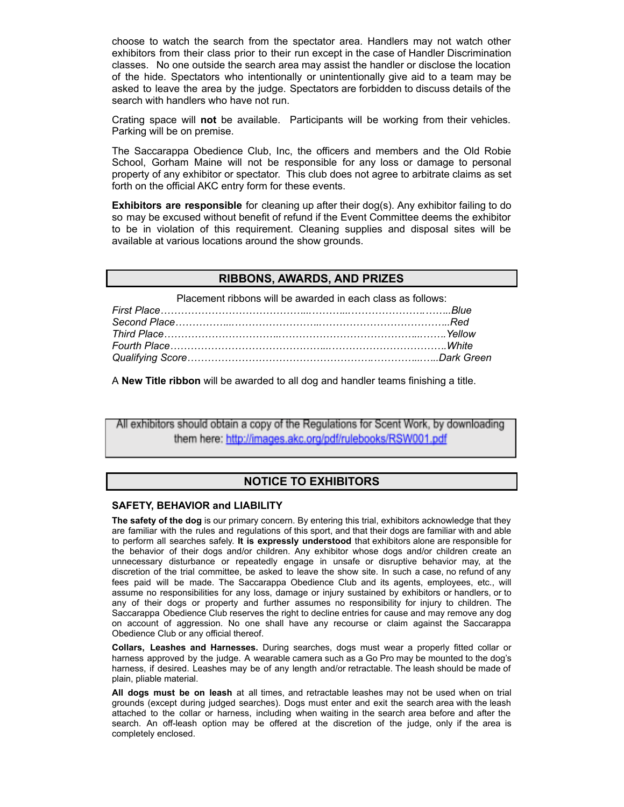choose to watch the search from the spectator area. Handlers may not watch other exhibitors from their class prior to their run except in the case of Handler Discrimination classes. No one outside the search area may assist the handler or disclose the location of the hide. Spectators who intentionally or unintentionally give aid to a team may be asked to leave the area by the judge. Spectators are forbidden to discuss details of the search with handlers who have not run.

Crating space will **not** be available. Participants will be working from their vehicles. Parking will be on premise.

The Saccarappa Obedience Club, Inc, the officers and members and the Old Robie School, Gorham Maine will not be responsible for any loss or damage to personal property of any exhibitor or spectator. This club does not agree to arbitrate claims as set forth on the official AKC entry form for these events.

**Exhibitors are responsible** for cleaning up after their dog(s). Any exhibitor failing to do so may be excused without benefit of refund if the Event Committee deems the exhibitor to be in violation of this requirement. Cleaning supplies and disposal sites will be available at various locations around the show grounds.

#### **RIBBONS, AWARDS, AND PRIZES**

Placement ribbons will be awarded in each class as follows:

A **New Title ribbon** will be awarded to all dog and handler teams finishing a title.

All exhibitors should obtain a copy of the Regulations for Scent Work, by downloading them here: http://images.akc.org/pdf/rulebooks/RSW001.pdf

### **NOTICE TO EXHIBITORS**

#### **SAFETY, BEHAVIOR and LIABILITY**

**The safety of the dog** is our primary concern. By entering this trial, exhibitors acknowledge that they are familiar with the rules and regulations of this sport, and that their dogs are familiar with and able to perform all searches safely. **It is expressly understood** that exhibitors alone are responsible for the behavior of their dogs and/or children. Any exhibitor whose dogs and/or children create an unnecessary disturbance or repeatedly engage in unsafe or disruptive behavior may, at the discretion of the trial committee, be asked to leave the show site. In such a case, no refund of any fees paid will be made. The Saccarappa Obedience Club and its agents, employees, etc., will assume no responsibilities for any loss, damage or injury sustained by exhibitors or handlers, or to any of their dogs or property and further assumes no responsibility for injury to children. The Saccarappa Obedience Club reserves the right to decline entries for cause and may remove any dog on account of aggression. No one shall have any recourse or claim against the Saccarappa Obedience Club or any official thereof.

**Collars, Leashes and Harnesses.** During searches, dogs must wear a properly fitted collar or harness approved by the judge. A wearable camera such as a Go Pro may be mounted to the dog's harness, if desired. Leashes may be of any length and/or retractable. The leash should be made of plain, pliable material.

**All dogs must be on leash** at all times, and retractable leashes may not be used when on trial grounds (except during judged searches). Dogs must enter and exit the search area with the leash attached to the collar or harness, including when waiting in the search area before and after the search. An off-leash option may be offered at the discretion of the judge, only if the area is completely enclosed.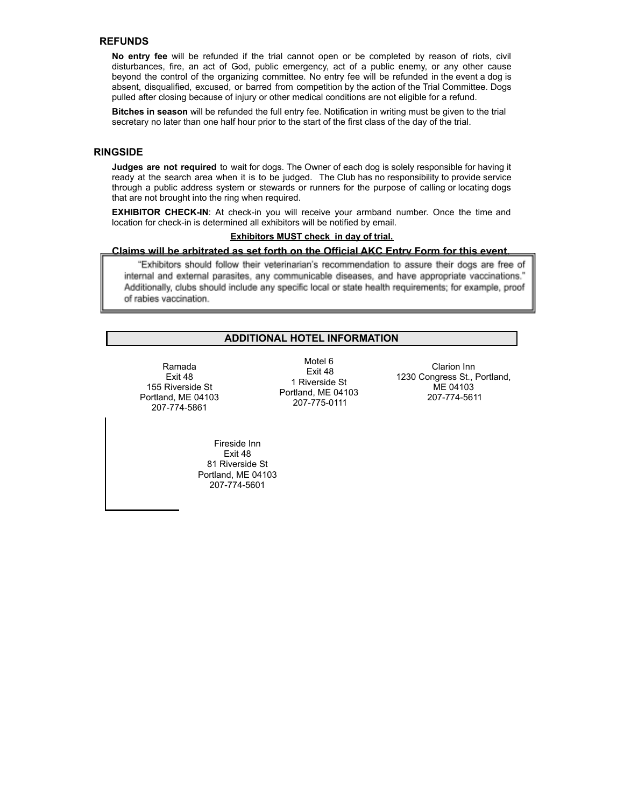#### **REFUNDS**

**No entry fee** will be refunded if the trial cannot open or be completed by reason of riots, civil disturbances, fire, an act of God, public emergency, act of a public enemy, or any other cause beyond the control of the organizing committee. No entry fee will be refunded in the event a dog is absent, disqualified, excused, or barred from competition by the action of the Trial Committee. Dogs pulled after closing because of injury or other medical conditions are not eligible for a refund.

**Bitches in season** will be refunded the full entry fee. Notification in writing must be given to the trial secretary no later than one half hour prior to the start of the first class of the day of the trial.

#### **RINGSIDE**

**Judges are not required** to wait for dogs. The Owner of each dog is solely responsible for having it ready at the search area when it is to be judged. The Club has no responsibility to provide service through a public address system or stewards or runners for the purpose of calling or locating dogs that are not brought into the ring when required.

**EXHIBITOR CHECK-IN**: At check-in you will receive your armband number. Once the time and location for check-in is determined all exhibitors will be notified by email.

#### **Exhibitors MUST check in day of trial.**

#### **Claims will be arbitrated as set forth on the Official AKC Entry Form for this event.**

"Exhibitors should follow their veterinarian's recommendation to assure their dogs are free of internal and external parasites, any communicable diseases, and have appropriate vaccinations." Additionally, clubs should include any specific local or state health requirements; for example, proof of rabies vaccination.

#### **ADDITIONAL HOTEL INFORMATION**

Ramada Exit 48 155 Riverside St Portland, ME 04103 207-774-5861

Motel 6 Exit 48 1 Riverside St Portland, ME 04103 207-775-0111

Clarion Inn 1230 Congress St., Portland, ME 04103 207-774-5611

Fireside Inn Exit 48 81 Riverside St Portland, ME 04103 207-774-5601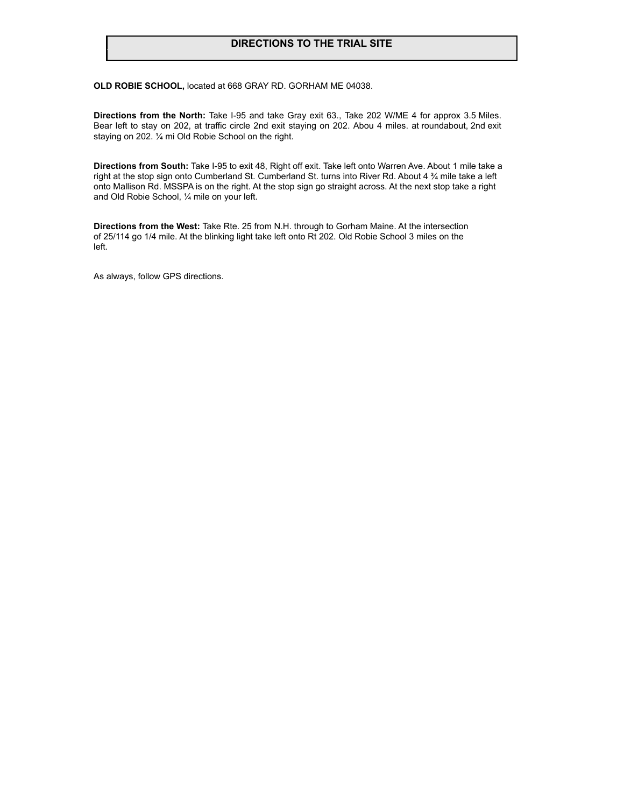### **DIRECTIONS TO THE TRIAL SITE**

**OLD ROBIE SCHOOL,** located at 668 GRAY RD. GORHAM ME 04038.

**Directions from the North:** Take I-95 and take Gray exit 63., Take 202 W/ME 4 for approx 3.5 Miles. Bear left to stay on 202, at traffic circle 2nd exit staying on 202. Abou 4 miles. at roundabout, 2nd exit staying on 202. ¼ mi Old Robie School on the right.

**Directions from South:** Take I-95 to exit 48, Right off exit. Take left onto Warren Ave. About 1 mile take a right at the stop sign onto Cumberland St. Cumberland St. turns into River Rd. About 4 ¾ mile take a left onto Mallison Rd. MSSPA is on the right. At the stop sign go straight across. At the next stop take a right and Old Robie School, ¼ mile on your left.

**Directions from the West:** Take Rte. 25 from N.H. through to Gorham Maine. At the intersection of 25/114 go 1/4 mile. At the blinking light take left onto Rt 202. Old Robie School 3 miles on the left.

As always, follow GPS directions.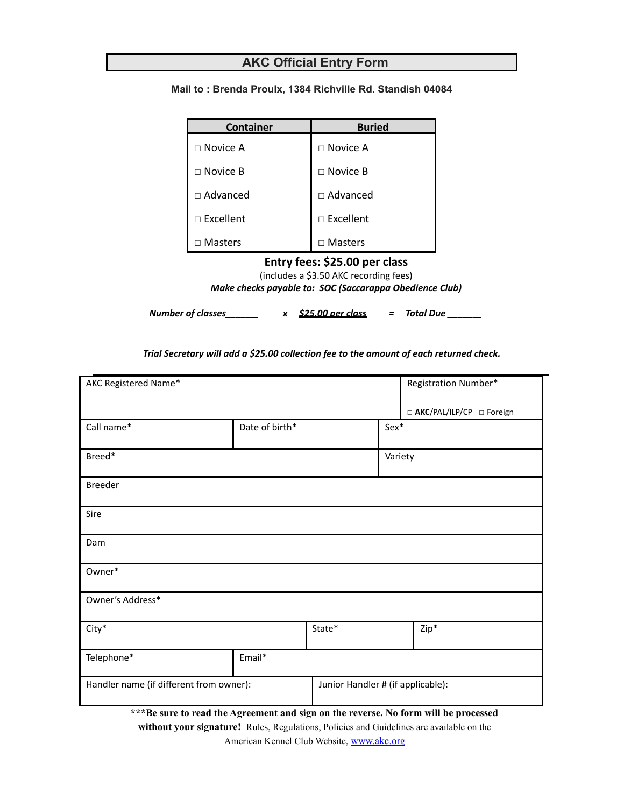# **AKC Official Entry Form**

| <b>Container</b> | <b>Buried</b>    |
|------------------|------------------|
| $\Box$ Novice A  | $\Box$ Novice A  |
| $\Box$ Novice B  | $\Box$ Novice B  |
| $\Box$ Advanced  | $\Box$ Advanced  |
| $\Box$ Excellent | $\Box$ Excellent |
| $\Box$ Masters   | $\Box$ Masters   |

**Mail to : Brenda Proulx, 1384 Richville Rd. Standish 04084**

**Entry fees: \$25.00 per class**

(includes a \$3.50 AKC recording fees)

*Make checks payable to: SOC (Saccarappa Obedience Club)*

*Number of classes\_\_\_\_\_\_\_ x \$25.00 per class = Total Due \_\_\_\_\_\_\_*

*Trial Secretary will add a \$25.00 collection fee to the amount of each returned check.*

| AKC Registered Name*                    |                |                                   | Registration Number*       |      |
|-----------------------------------------|----------------|-----------------------------------|----------------------------|------|
|                                         |                |                                   | □ AKC/PAL/ILP/CP □ Foreign |      |
| Call name*                              | Date of birth* |                                   | Sex*                       |      |
| Breed*                                  |                |                                   | Variety                    |      |
| <b>Breeder</b>                          |                |                                   |                            |      |
| Sire                                    |                |                                   |                            |      |
| Dam                                     |                |                                   |                            |      |
| Owner*                                  |                |                                   |                            |      |
| Owner's Address*                        |                |                                   |                            |      |
| City*                                   |                | State*                            |                            | Zip* |
| Telephone*                              | Email*         |                                   |                            |      |
| Handler name (if different from owner): |                | Junior Handler # (if applicable): |                            |      |

**\*\*\*Be sure to read the Agreement and sign on the reverse. No form will be processed**

**without your signature!** Rules, Regulations, Policies and Guidelines are available on the

American Kennel Club Website, www.akc.org